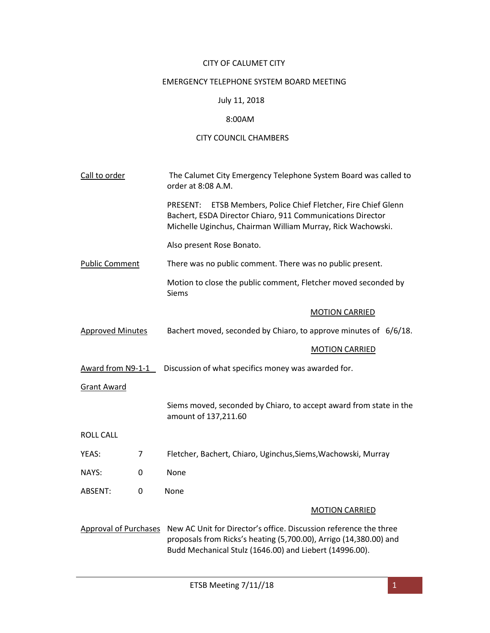## CITY OF CALUMET CITY

## EMERGENCY TELEPHONE SYSTEM BOARD MEETING

# July 11, 2018

#### 8:00AM

## CITY COUNCIL CHAMBERS

| Call to order           |   | The Calumet City Emergency Telephone System Board was called to<br>order at 8:08 A.M.                                                                                                             |
|-------------------------|---|---------------------------------------------------------------------------------------------------------------------------------------------------------------------------------------------------|
|                         |   | ETSB Members, Police Chief Fletcher, Fire Chief Glenn<br>PRESENT:<br>Bachert, ESDA Director Chiaro, 911 Communications Director<br>Michelle Uginchus, Chairman William Murray, Rick Wachowski.    |
|                         |   | Also present Rose Bonato.                                                                                                                                                                         |
| <b>Public Comment</b>   |   | There was no public comment. There was no public present.                                                                                                                                         |
|                         |   | Motion to close the public comment, Fletcher moved seconded by<br><b>Siems</b>                                                                                                                    |
|                         |   | <b>MOTION CARRIED</b>                                                                                                                                                                             |
| <b>Approved Minutes</b> |   | Bachert moved, seconded by Chiaro, to approve minutes of 6/6/18.                                                                                                                                  |
|                         |   | <b>MOTION CARRIED</b>                                                                                                                                                                             |
| Award from N9-1-1       |   | Discussion of what specifics money was awarded for.                                                                                                                                               |
| <b>Grant Award</b>      |   |                                                                                                                                                                                                   |
|                         |   | Siems moved, seconded by Chiaro, to accept award from state in the<br>amount of 137,211.60                                                                                                        |
| <b>ROLL CALL</b>        |   |                                                                                                                                                                                                   |
| YEAS:                   | 7 | Fletcher, Bachert, Chiaro, Uginchus, Siems, Wachowski, Murray                                                                                                                                     |
| NAYS:                   | 0 | None                                                                                                                                                                                              |
| ABSENT:                 | 0 | None                                                                                                                                                                                              |
|                         |   | <b>MOTION CARRIED</b>                                                                                                                                                                             |
| Approval of Purchases   |   | New AC Unit for Director's office. Discussion reference the three<br>proposals from Ricks's heating (5,700.00), Arrigo (14,380.00) and<br>Budd Mechanical Stulz (1646.00) and Liebert (14996.00). |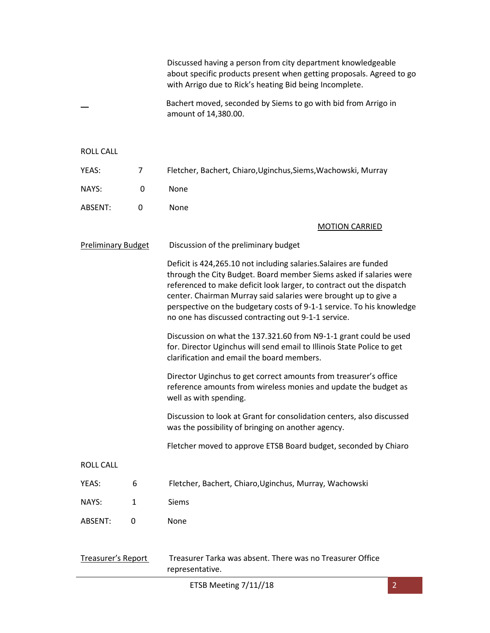|                           |              | Discussed having a person from city department knowledgeable<br>about specific products present when getting proposals. Agreed to go<br>with Arrigo due to Rick's heating Bid being Incomplete.                                                                                                                                                                                                                    |
|---------------------------|--------------|--------------------------------------------------------------------------------------------------------------------------------------------------------------------------------------------------------------------------------------------------------------------------------------------------------------------------------------------------------------------------------------------------------------------|
|                           |              | Bachert moved, seconded by Siems to go with bid from Arrigo in<br>amount of 14,380.00.                                                                                                                                                                                                                                                                                                                             |
| <b>ROLL CALL</b>          |              |                                                                                                                                                                                                                                                                                                                                                                                                                    |
| YEAS:                     | 7            | Fletcher, Bachert, Chiaro, Uginchus, Siems, Wachowski, Murray                                                                                                                                                                                                                                                                                                                                                      |
| NAYS:                     | 0            | None                                                                                                                                                                                                                                                                                                                                                                                                               |
| ABSENT:                   | 0            | None                                                                                                                                                                                                                                                                                                                                                                                                               |
|                           |              | <b>MOTION CARRIED</b>                                                                                                                                                                                                                                                                                                                                                                                              |
| <b>Preliminary Budget</b> |              | Discussion of the preliminary budget                                                                                                                                                                                                                                                                                                                                                                               |
|                           |              | Deficit is 424,265.10 not including salaries. Salaires are funded<br>through the City Budget. Board member Siems asked if salaries were<br>referenced to make deficit look larger, to contract out the dispatch<br>center. Chairman Murray said salaries were brought up to give a<br>perspective on the budgetary costs of 9-1-1 service. To his knowledge<br>no one has discussed contracting out 9-1-1 service. |
|                           |              | Discussion on what the 137.321.60 from N9-1-1 grant could be used<br>for. Director Uginchus will send email to Illinois State Police to get<br>clarification and email the board members.                                                                                                                                                                                                                          |
|                           |              | Director Uginchus to get correct amounts from treasurer's office<br>reference amounts from wireless monies and update the budget as<br>well as with spending.                                                                                                                                                                                                                                                      |
|                           |              | Discussion to look at Grant for consolidation centers, also discussed<br>was the possibility of bringing on another agency.                                                                                                                                                                                                                                                                                        |
|                           |              | Fletcher moved to approve ETSB Board budget, seconded by Chiaro                                                                                                                                                                                                                                                                                                                                                    |
| <b>ROLL CALL</b>          |              |                                                                                                                                                                                                                                                                                                                                                                                                                    |
| YEAS:                     | 6            | Fletcher, Bachert, Chiaro, Uginchus, Murray, Wachowski                                                                                                                                                                                                                                                                                                                                                             |
| NAYS:                     | $\mathbf{1}$ | <b>Siems</b>                                                                                                                                                                                                                                                                                                                                                                                                       |
| ABSENT:                   | 0            | None                                                                                                                                                                                                                                                                                                                                                                                                               |
| Treasurer's Report        |              | Treasurer Tarka was absent. There was no Treasurer Office                                                                                                                                                                                                                                                                                                                                                          |

representative.